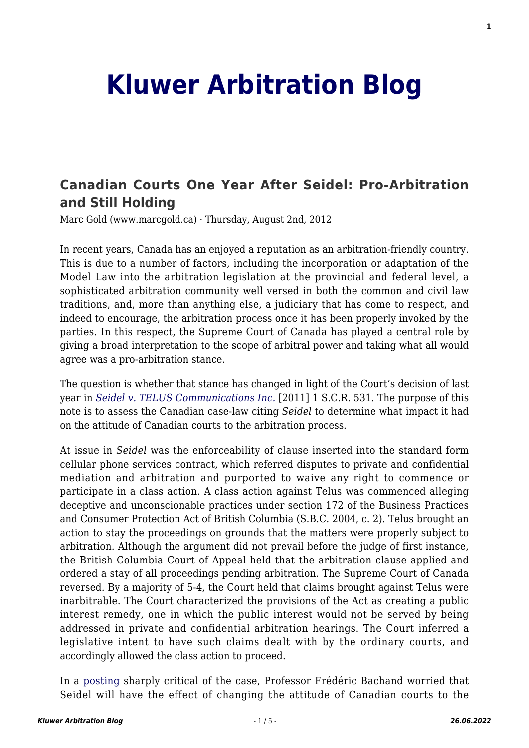## **[Kluwer Arbitration Blog](http://arbitrationblog.kluwerarbitration.com/)**

## **[Canadian Courts One Year After Seidel: Pro-Arbitration](http://arbitrationblog.kluwerarbitration.com/2012/08/02/canadian-courts-one-year-after-seidel-pro-arbitration-and-still-holding/) [and Still Holding](http://arbitrationblog.kluwerarbitration.com/2012/08/02/canadian-courts-one-year-after-seidel-pro-arbitration-and-still-holding/)**

Marc Gold (www.marcgold.ca) · Thursday, August 2nd, 2012

In recent years, Canada has an enjoyed a reputation as an arbitration-friendly country. This is due to a number of factors, including the incorporation or adaptation of the Model Law into the arbitration legislation at the provincial and federal level, a sophisticated arbitration community well versed in both the common and civil law traditions, and, more than anything else, a judiciary that has come to respect, and indeed to encourage, the arbitration process once it has been properly invoked by the parties. In this respect, the Supreme Court of Canada has played a central role by giving a broad interpretation to the scope of arbitral power and taking what all would agree was a pro-arbitration stance.

The question is whether that stance has changed in light of the Court's decision of last year in *[Seidel v. TELUS Communications Inc.](http://canlii.ca/t/fkkkj)* [2011] 1 S.C.R. 531. The purpose of this note is to assess the Canadian case-law citing *Seidel* to determine what impact it had on the attitude of Canadian courts to the arbitration process.

At issue in *Seidel* was the enforceability of clause inserted into the standard form cellular phone services contract, which referred disputes to private and confidential mediation and arbitration and purported to waive any right to commence or participate in a class action. A class action against Telus was commenced alleging deceptive and unconscionable practices under section 172 of the Business Practices and Consumer Protection Act of British Columbia (S.B.C. 2004, c. 2). Telus brought an action to stay the proceedings on grounds that the matters were properly subject to arbitration. Although the argument did not prevail before the judge of first instance, the British Columbia Court of Appeal held that the arbitration clause applied and ordered a stay of all proceedings pending arbitration. The Supreme Court of Canada reversed. By a majority of 5-4, the Court held that claims brought against Telus were inarbitrable. The Court characterized the provisions of the Act as creating a public interest remedy, one in which the public interest would not be served by being addressed in private and confidential arbitration hearings. The Court inferred a legislative intent to have such claims dealt with by the ordinary courts, and accordingly allowed the class action to proceed.

In a [posting](http://arbitrationblog.kluwerarbitration.com//wolterskluwerblogs.com/blog/2011/03/31/the-supreme-court-of-canada-pro-arbitration-no-more/) sharply critical of the case, Professor Frédéric Bachand worried that Seidel will have the effect of changing the attitude of Canadian courts to the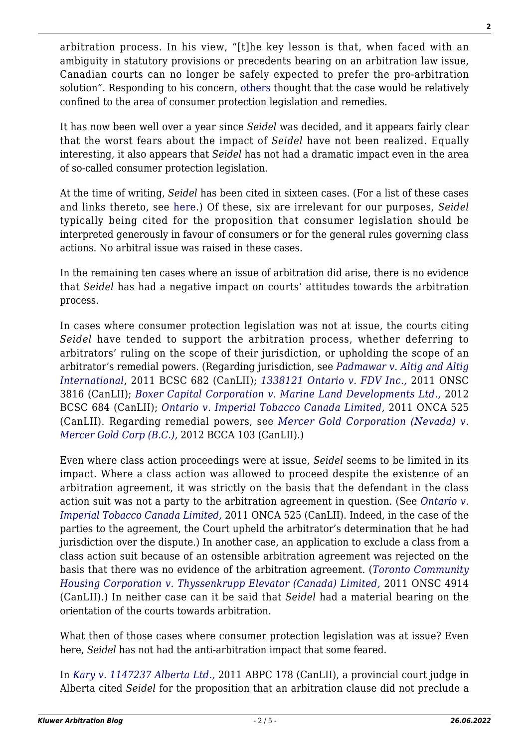arbitration process. In his view, "[t]he key lesson is that, when faced with an ambiguity in statutory provisions or precedents bearing on an arbitration law issue, Canadian courts can no longer be safely expected to prefer the pro-arbitration solution". Responding to his concern, [others](http://wolterskluwerblogs.com/blog/2011/03/31/the-supreme-court-of-canada-pro-arbitration-no-more/comment-page-1/#comment-136345) thought that the case would be relatively confined to the area of consumer protection legislation and remedies.

It has now been well over a year since *Seidel* was decided, and it appears fairly clear that the worst fears about the impact of *Seidel* have not been realized. Equally interesting, it also appears that *Seidel* has not had a dramatic impact even in the area of so-called consumer protection legislation.

At the time of writing, *Seidel* has been cited in sixteen cases. (For a list of these cases and links thereto, see [here.](http://www.canlii.org/eliisa/noteUpSearch.do?origin=/en/ca/scc/doc/2011/2011scc15/2011scc15.html&translatedOrigin=/fr/ca/csc/doc/2011/2011csc15/2011csc15.html&language=en&searchTitle=2011+SCC+15+%28CanLII%29)) Of these, six are irrelevant for our purposes, *Seidel* typically being cited for the proposition that consumer legislation should be interpreted generously in favour of consumers or for the general rules governing class actions. No arbitral issue was raised in these cases.

In the remaining ten cases where an issue of arbitration did arise, there is no evidence that *Seidel* has had a negative impact on courts' attitudes towards the arbitration process.

In cases where consumer protection legislation was not at issue, the courts citing *Seidel* have tended to support the arbitration process, whether deferring to arbitrators' ruling on the scope of their jurisdiction, or upholding the scope of an arbitrator's remedial powers. (Regarding jurisdiction, see *[Padmawar v. Altig and Altig](http://canlii.ca/t/fllh8) [International](http://canlii.ca/t/fllh8)*, 2011 BCSC 682 (CanLII); *[1338121 Ontario v. FDV Inc.,](http://canlii.ca/t/flxpv)* 2011 ONSC 3816 (CanLII); *[Boxer Capital Corporation v. Marine Land Developments Ltd.,](http://canlii.ca/t/fr9t8)* 2012 BCSC 684 (CanLII); *[Ontario v. Imperial Tobacco Canada Limited,](http://canlii.ca/t/fmfvl)* 2011 ONCA 525 (CanLII). Regarding remedial powers, see *[Mercer Gold Corporation \(Nevada\) v.](http://canlii.ca/t/fqd8g) [Mercer Gold Corp \(B.C.\),](http://canlii.ca/t/fqd8g)* 2012 BCCA 103 (CanLII).)

Even where class action proceedings were at issue, *Seidel* seems to be limited in its impact. Where a class action was allowed to proceed despite the existence of an arbitration agreement, it was strictly on the basis that the defendant in the class action suit was not a party to the arbitration agreement in question. (See *[Ontario v.](http://canlii.ca/t/fmfvl) [Imperial Tobacco Canada Limited,](http://canlii.ca/t/fmfvl)* 2011 ONCA 525 (CanLII). Indeed, in the case of the parties to the agreement, the Court upheld the arbitrator's determination that he had jurisdiction over the dispute.) In another case, an application to exclude a class from a class action suit because of an ostensible arbitration agreement was rejected on the basis that there was no evidence of the arbitration agreement. (*[Toronto Community](http://canlii.ca/t/fmng1) [Housing Corporation v. Thyssenkrupp Elevator \(Canada\) Limited,](http://canlii.ca/t/fmng1)* 2011 ONSC 4914 (CanLII).) In neither case can it be said that *Seidel* had a material bearing on the orientation of the courts towards arbitration.

What then of those cases where consumer protection legislation was at issue? Even here, *Seidel* has not had the anti-arbitration impact that some feared.

In *[Kary v. 1147237 Alberta Ltd.,](http://canlii.ca/t/flrd3)* 2011 ABPC 178 (CanLII), a provincial court judge in Alberta cited *Seidel* for the proposition that an arbitration clause did not preclude a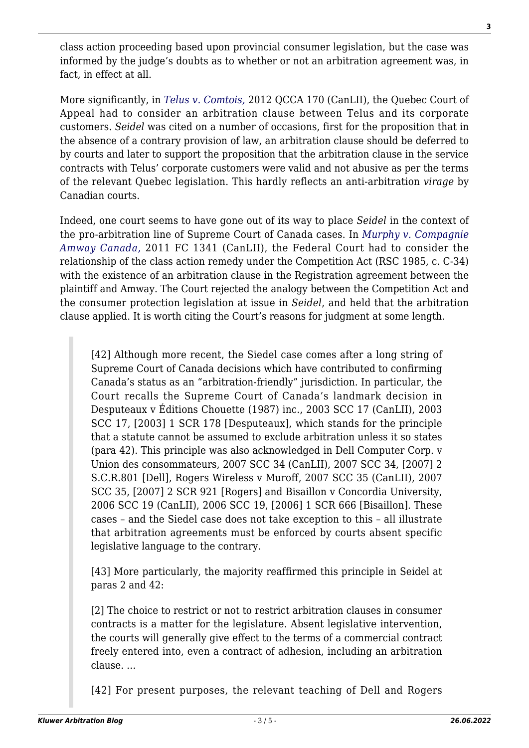class action proceeding based upon provincial consumer legislation, but the case was informed by the judge's doubts as to whether or not an arbitration agreement was, in fact, in effect at all.

More significantly, in *[Telus v. Comtois,](http://canlii.ca/t/fpt8j)* 2012 QCCA 170 (CanLII), the Quebec Court of Appeal had to consider an arbitration clause between Telus and its corporate customers. *Seidel* was cited on a number of occasions, first for the proposition that in the absence of a contrary provision of law, an arbitration clause should be deferred to by courts and later to support the proposition that the arbitration clause in the service contracts with Telus' corporate customers were valid and not abusive as per the terms of the relevant Quebec legislation. This hardly reflects an anti-arbitration *virage* by Canadian courts.

Indeed, one court seems to have gone out of its way to place *Seidel* in the context of the pro-arbitration line of Supreme Court of Canada cases. In *[Murphy v. Compagnie](http://canlii.ca/t/fp2rl) [Amway Canada,](http://canlii.ca/t/fp2rl)* 2011 FC 1341 (CanLII), the Federal Court had to consider the relationship of the class action remedy under the Competition Act (RSC 1985, c. C-34) with the existence of an arbitration clause in the Registration agreement between the plaintiff and Amway. The Court rejected the analogy between the Competition Act and the consumer protection legislation at issue in *Seidel*, and held that the arbitration clause applied. It is worth citing the Court's reasons for judgment at some length.

[42] Although more recent, the Siedel case comes after a long string of Supreme Court of Canada decisions which have contributed to confirming Canada's status as an "arbitration-friendly" jurisdiction. In particular, the Court recalls the Supreme Court of Canada's landmark decision in Desputeaux v Éditions Chouette (1987) inc., 2003 SCC 17 (CanLII), 2003 SCC 17, [2003] 1 SCR 178 [Desputeaux], which stands for the principle that a statute cannot be assumed to exclude arbitration unless it so states (para 42). This principle was also acknowledged in Dell Computer Corp. v Union des consommateurs, 2007 SCC 34 (CanLII), 2007 SCC 34, [2007] 2 S.C.R.801 [Dell], Rogers Wireless v Muroff, 2007 SCC 35 (CanLII), 2007 SCC 35, [2007] 2 SCR 921 [Rogers] and Bisaillon v Concordia University, 2006 SCC 19 (CanLII), 2006 SCC 19, [2006] 1 SCR 666 [Bisaillon]. These cases – and the Siedel case does not take exception to this – all illustrate that arbitration agreements must be enforced by courts absent specific legislative language to the contrary.

[43] More particularly, the majority reaffirmed this principle in Seidel at paras 2 and 42:

[2] The choice to restrict or not to restrict arbitration clauses in consumer contracts is a matter for the legislature. Absent legislative intervention, the courts will generally give effect to the terms of a commercial contract freely entered into, even a contract of adhesion, including an arbitration clause. …

[42] For present purposes, the relevant teaching of Dell and Rogers

**3**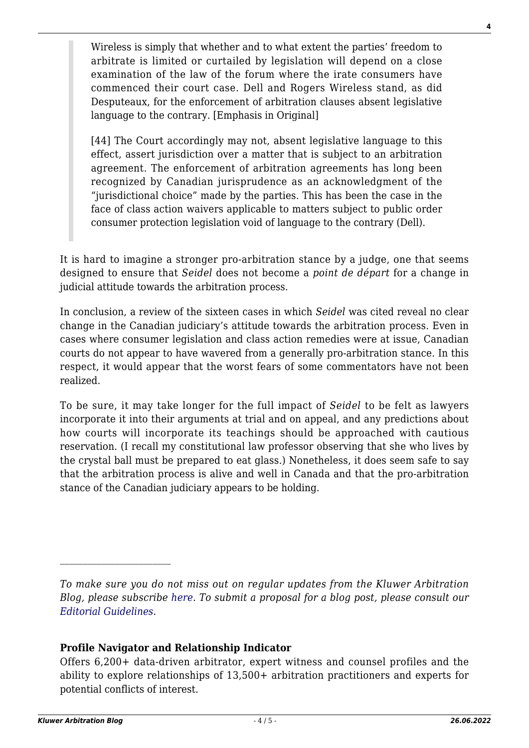Wireless is simply that whether and to what extent the parties' freedom to arbitrate is limited or curtailed by legislation will depend on a close examination of the law of the forum where the irate consumers have commenced their court case. Dell and Rogers Wireless stand, as did Desputeaux, for the enforcement of arbitration clauses absent legislative language to the contrary. [Emphasis in Original]

[44] The Court accordingly may not, absent legislative language to this effect, assert jurisdiction over a matter that is subject to an arbitration agreement. The enforcement of arbitration agreements has long been recognized by Canadian jurisprudence as an acknowledgment of the "jurisdictional choice" made by the parties. This has been the case in the face of class action waivers applicable to matters subject to public order consumer protection legislation void of language to the contrary (Dell).

It is hard to imagine a stronger pro-arbitration stance by a judge, one that seems designed to ensure that *Seidel* does not become a *point de départ* for a change in judicial attitude towards the arbitration process.

In conclusion, a review of the sixteen cases in which *Seidel* was cited reveal no clear change in the Canadian judiciary's attitude towards the arbitration process. Even in cases where consumer legislation and class action remedies were at issue, Canadian courts do not appear to have wavered from a generally pro-arbitration stance. In this respect, it would appear that the worst fears of some commentators have not been realized.

To be sure, it may take longer for the full impact of *Seidel* to be felt as lawyers incorporate it into their arguments at trial and on appeal, and any predictions about how courts will incorporate its teachings should be approached with cautious reservation. (I recall my constitutional law professor observing that she who lives by the crystal ball must be prepared to eat glass.) Nonetheless, it does seem safe to say that the arbitration process is alive and well in Canada and that the pro-arbitration stance of the Canadian judiciary appears to be holding.

## **Profile Navigator and Relationship Indicator**

 $\mathcal{L}_\text{max}$ 

*To make sure you do not miss out on regular updates from the Kluwer Arbitration Blog, please subscribe [here](http://arbitrationblog.kluwerarbitration.com/newsletter/). To submit a proposal for a blog post, please consult our [Editorial Guidelines.](http://arbitrationblog.kluwerarbitration.com/editorial-guidelines/)*

Offers 6,200+ data-driven arbitrator, expert witness and counsel profiles and the ability to explore relationships of 13,500+ arbitration practitioners and experts for potential conflicts of interest.